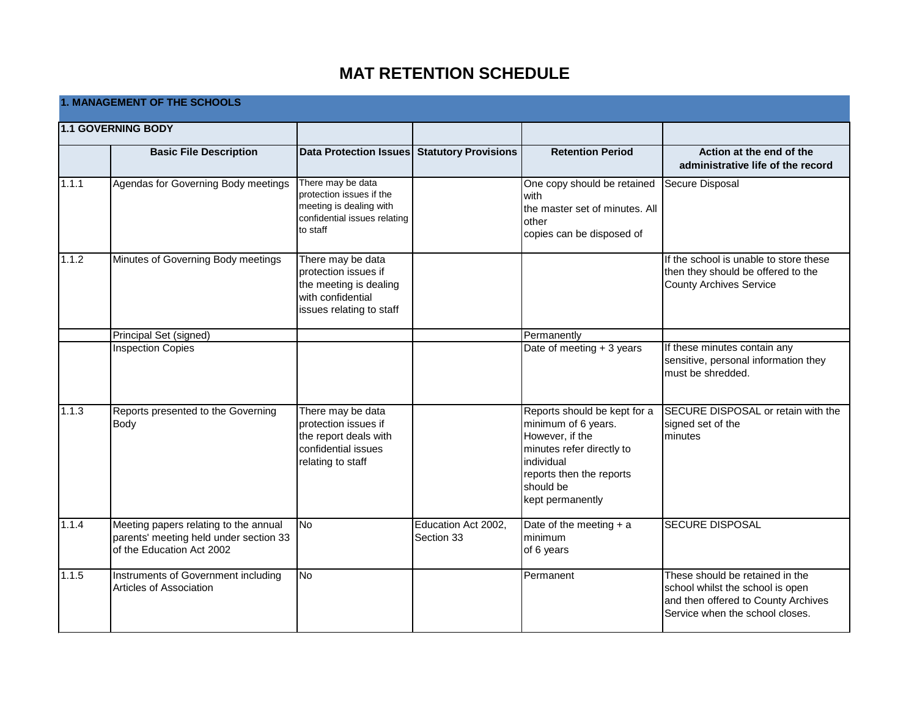## **MAT RETENTION SCHEDULE**

|       | <b>1. MANAGEMENT OF THE SCHOOLS</b>                                                                          |                                                                                                                      |                                   |                                                                                                                                                                                |                                                                                                                                               |  |  |
|-------|--------------------------------------------------------------------------------------------------------------|----------------------------------------------------------------------------------------------------------------------|-----------------------------------|--------------------------------------------------------------------------------------------------------------------------------------------------------------------------------|-----------------------------------------------------------------------------------------------------------------------------------------------|--|--|
|       | 1.1 GOVERNING BODY                                                                                           |                                                                                                                      |                                   |                                                                                                                                                                                |                                                                                                                                               |  |  |
|       | <b>Basic File Description</b>                                                                                | Data Protection Issues Statutory Provisions                                                                          |                                   | <b>Retention Period</b>                                                                                                                                                        | Action at the end of the<br>administrative life of the record                                                                                 |  |  |
| 1.1.1 | Agendas for Governing Body meetings                                                                          | There may be data<br>protection issues if the<br>meeting is dealing with<br>confidential issues relating<br>to staff |                                   | One copy should be retained<br>with<br>the master set of minutes. All<br>other<br>copies can be disposed of                                                                    | Secure Disposal                                                                                                                               |  |  |
| 1.1.2 | Minutes of Governing Body meetings                                                                           | There may be data<br>protection issues if<br>the meeting is dealing<br>with confidential<br>issues relating to staff |                                   |                                                                                                                                                                                | If the school is unable to store these<br>then they should be offered to the<br>County Archives Service                                       |  |  |
|       | Principal Set (signed)                                                                                       |                                                                                                                      |                                   | Permanently                                                                                                                                                                    |                                                                                                                                               |  |  |
|       | <b>Inspection Copies</b>                                                                                     |                                                                                                                      |                                   | Date of meeting + 3 years                                                                                                                                                      | If these minutes contain any<br>sensitive, personal information they<br>must be shredded.                                                     |  |  |
| 1.1.3 | Reports presented to the Governing<br>Body                                                                   | There may be data<br>protection issues if<br>the report deals with<br>confidential issues<br>relating to staff       |                                   | Reports should be kept for a<br>minimum of 6 years.<br>However, if the<br>minutes refer directly to<br>individual<br>reports then the reports<br>should be<br>kept permanently | SECURE DISPOSAL or retain with the<br>signed set of the<br>minutes                                                                            |  |  |
| 1.1.4 | Meeting papers relating to the annual<br>parents' meeting held under section 33<br>of the Education Act 2002 | $\overline{\text{No}}$                                                                                               | Education Act 2002,<br>Section 33 | Date of the meeting $+ a$<br>minimum<br>of 6 years                                                                                                                             | <b>SECURE DISPOSAL</b>                                                                                                                        |  |  |
| 1.1.5 | Instruments of Government including<br>Articles of Association                                               | $\overline{\text{No}}$                                                                                               |                                   | Permanent                                                                                                                                                                      | These should be retained in the<br>school whilst the school is open<br>and then offered to County Archives<br>Service when the school closes. |  |  |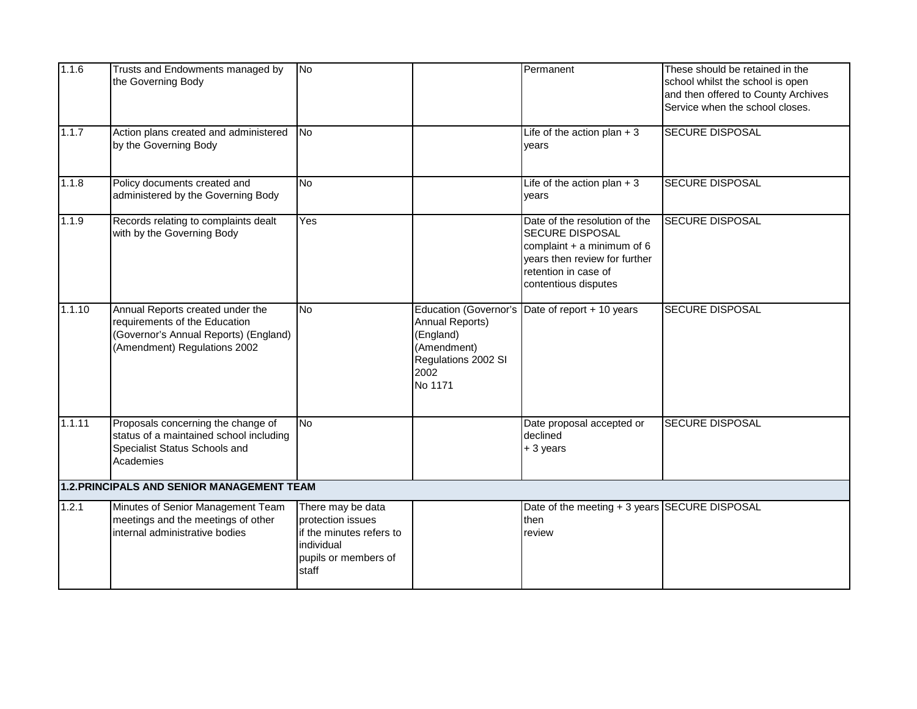| 1.1.6  | Trusts and Endowments managed by<br>the Governing Body                                                                                     | No                                                                                                                |                                                                                                                       | Permanent                                                                                                                                                                | These should be retained in the<br>school whilst the school is open<br>and then offered to County Archives<br>Service when the school closes. |
|--------|--------------------------------------------------------------------------------------------------------------------------------------------|-------------------------------------------------------------------------------------------------------------------|-----------------------------------------------------------------------------------------------------------------------|--------------------------------------------------------------------------------------------------------------------------------------------------------------------------|-----------------------------------------------------------------------------------------------------------------------------------------------|
| 1.1.7  | Action plans created and administered<br>by the Governing Body                                                                             | N <sub>o</sub>                                                                                                    |                                                                                                                       | Life of the action plan $+3$<br>years                                                                                                                                    | <b>SECURE DISPOSAL</b>                                                                                                                        |
| 1.1.8  | Policy documents created and<br>administered by the Governing Body                                                                         | <b>No</b>                                                                                                         |                                                                                                                       | Life of the action plan $+3$<br>years                                                                                                                                    | <b>SECURE DISPOSAL</b>                                                                                                                        |
| 1.1.9  | Records relating to complaints dealt<br>with by the Governing Body                                                                         | Yes                                                                                                               |                                                                                                                       | Date of the resolution of the<br><b>SECURE DISPOSAL</b><br>complaint $+$ a minimum of 6<br>years then review for further<br>retention in case of<br>contentious disputes | <b>SECURE DISPOSAL</b>                                                                                                                        |
| 1.1.10 | Annual Reports created under the<br>requirements of the Education<br>(Governor's Annual Reports) (England)<br>(Amendment) Regulations 2002 | <b>No</b>                                                                                                         | <b>Education (Governor's</b><br>Annual Reports)<br>(England)<br>(Amendment)<br>Regulations 2002 SI<br>2002<br>No 1171 | Date of report + 10 years                                                                                                                                                | <b>SECURE DISPOSAL</b>                                                                                                                        |
| 1.1.11 | Proposals concerning the change of<br>status of a maintained school including<br>Specialist Status Schools and<br>Academies                | <b>No</b>                                                                                                         |                                                                                                                       | Date proposal accepted or<br>declined<br>+ 3 years                                                                                                                       | <b>SECURE DISPOSAL</b>                                                                                                                        |
|        | 1.2. PRINCIPALS AND SENIOR MANAGEMENT TEAM                                                                                                 |                                                                                                                   |                                                                                                                       |                                                                                                                                                                          |                                                                                                                                               |
| 1.2.1  | Minutes of Senior Management Team<br>meetings and the meetings of other<br>internal administrative bodies                                  | There may be data<br>protection issues<br>if the minutes refers to<br>individual<br>pupils or members of<br>staff |                                                                                                                       | Date of the meeting + 3 years SECURE DISPOSAL<br>then<br>review                                                                                                          |                                                                                                                                               |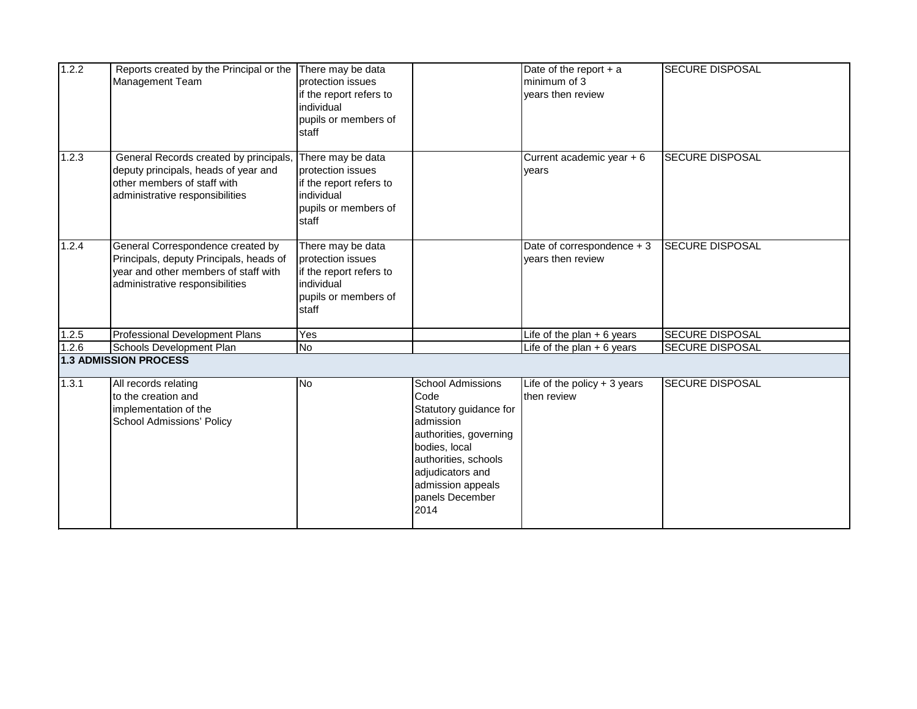| 1.2.2 | Reports created by the Principal or the<br>Management Team                                                                                              | There may be data<br>protection issues<br>if the report refers to<br>individual<br>pupils or members of<br>staff |                                                                                                                                                                                                                | Date of the report $+$ a<br>minimum of 3<br>years then review | <b>SECURE DISPOSAL</b> |
|-------|---------------------------------------------------------------------------------------------------------------------------------------------------------|------------------------------------------------------------------------------------------------------------------|----------------------------------------------------------------------------------------------------------------------------------------------------------------------------------------------------------------|---------------------------------------------------------------|------------------------|
| 1.2.3 | General Records created by principals,<br>deputy principals, heads of year and<br>other members of staff with<br>administrative responsibilities        | There may be data<br>protection issues<br>if the report refers to<br>individual<br>pupils or members of<br>staff |                                                                                                                                                                                                                | Current academic year + 6<br>vears                            | <b>SECURE DISPOSAL</b> |
| 1.2.4 | General Correspondence created by<br>Principals, deputy Principals, heads of<br>year and other members of staff with<br>administrative responsibilities | There may be data<br>protection issues<br>if the report refers to<br>individual<br>pupils or members of<br>staff |                                                                                                                                                                                                                | Date of correspondence + 3<br>vears then review               | <b>SECURE DISPOSAL</b> |
| 1.2.5 | Professional Development Plans                                                                                                                          | Yes                                                                                                              |                                                                                                                                                                                                                | Life of the plan $+ 6$ years                                  | <b>SECURE DISPOSAL</b> |
| 1.2.6 | Schools Development Plan                                                                                                                                | No                                                                                                               |                                                                                                                                                                                                                | Life of the plan $+6$ years                                   | <b>SECURE DISPOSAL</b> |
|       | <b>1.3 ADMISSION PROCESS</b>                                                                                                                            |                                                                                                                  |                                                                                                                                                                                                                |                                                               |                        |
| 1.3.1 | All records relating<br>to the creation and<br>implementation of the<br><b>School Admissions' Policy</b>                                                | <b>No</b>                                                                                                        | <b>School Admissions</b><br>Code<br>Statutory guidance for<br>admission<br>authorities, governing<br>bodies, local<br>authorities, schools<br>adjudicators and<br>admission appeals<br>panels December<br>2014 | Life of the policy $+3$ years<br>then review                  | <b>SECURE DISPOSAL</b> |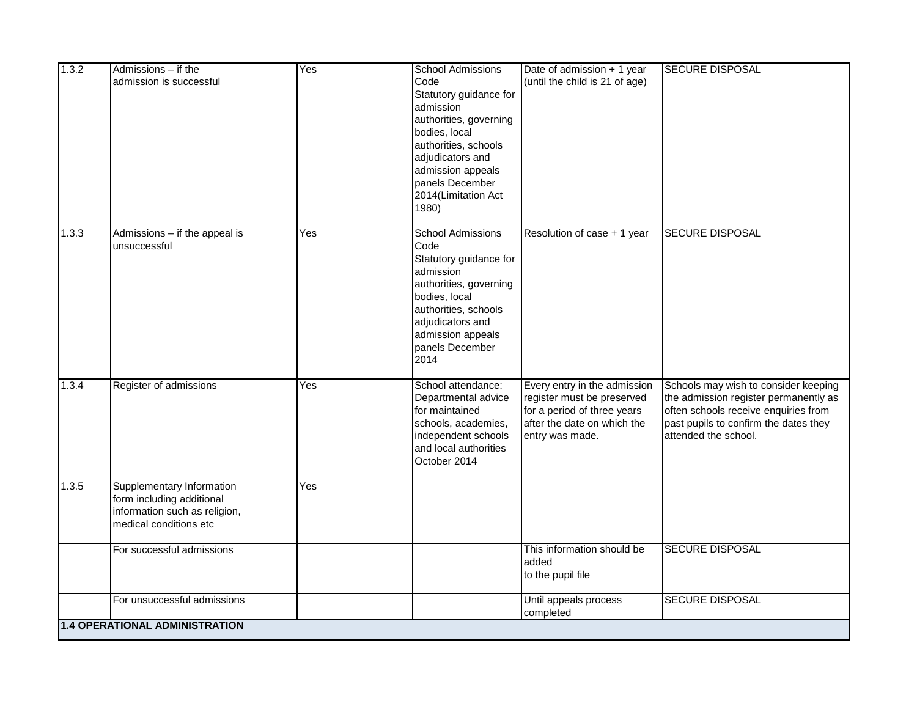| 1.3.2 | Admissions - if the<br>admission is successful                                                                    | Yes | <b>School Admissions</b><br>Code<br>Statutory guidance for<br>admission<br>authorities, governing<br>bodies, local<br>authorities, schools<br>adjudicators and<br>admission appeals<br>panels December<br>2014(Limitation Act<br>1980) | Date of admission + 1 year<br>(until the child is 21 of age)                                                                                | <b>SECURE DISPOSAL</b>                                                                                                                                                                 |
|-------|-------------------------------------------------------------------------------------------------------------------|-----|----------------------------------------------------------------------------------------------------------------------------------------------------------------------------------------------------------------------------------------|---------------------------------------------------------------------------------------------------------------------------------------------|----------------------------------------------------------------------------------------------------------------------------------------------------------------------------------------|
| 1.3.3 | Admissions - if the appeal is<br>unsuccessful                                                                     | Yes | <b>School Admissions</b><br>Code<br>Statutory guidance for<br>admission<br>authorities, governing<br>bodies, local<br>authorities, schools<br>adjudicators and<br>admission appeals<br>panels December<br>2014                         | Resolution of case + 1 year                                                                                                                 | <b>SECURE DISPOSAL</b>                                                                                                                                                                 |
| 1.3.4 | Register of admissions                                                                                            | Yes | School attendance:<br>Departmental advice<br>for maintained<br>schools, academies,<br>independent schools<br>and local authorities<br>October 2014                                                                                     | Every entry in the admission<br>register must be preserved<br>for a period of three years<br>after the date on which the<br>entry was made. | Schools may wish to consider keeping<br>the admission register permanently as<br>often schools receive enquiries from<br>past pupils to confirm the dates they<br>attended the school. |
| 1.3.5 | Supplementary Information<br>form including additional<br>information such as religion,<br>medical conditions etc | Yes |                                                                                                                                                                                                                                        |                                                                                                                                             |                                                                                                                                                                                        |
|       | For successful admissions                                                                                         |     |                                                                                                                                                                                                                                        | This information should be<br>added<br>to the pupil file                                                                                    | <b>SECURE DISPOSAL</b>                                                                                                                                                                 |
|       | For unsuccessful admissions                                                                                       |     |                                                                                                                                                                                                                                        | Until appeals process<br>completed                                                                                                          | <b>SECURE DISPOSAL</b>                                                                                                                                                                 |
|       | 1.4 OPERATIONAL ADMINISTRATION                                                                                    |     |                                                                                                                                                                                                                                        |                                                                                                                                             |                                                                                                                                                                                        |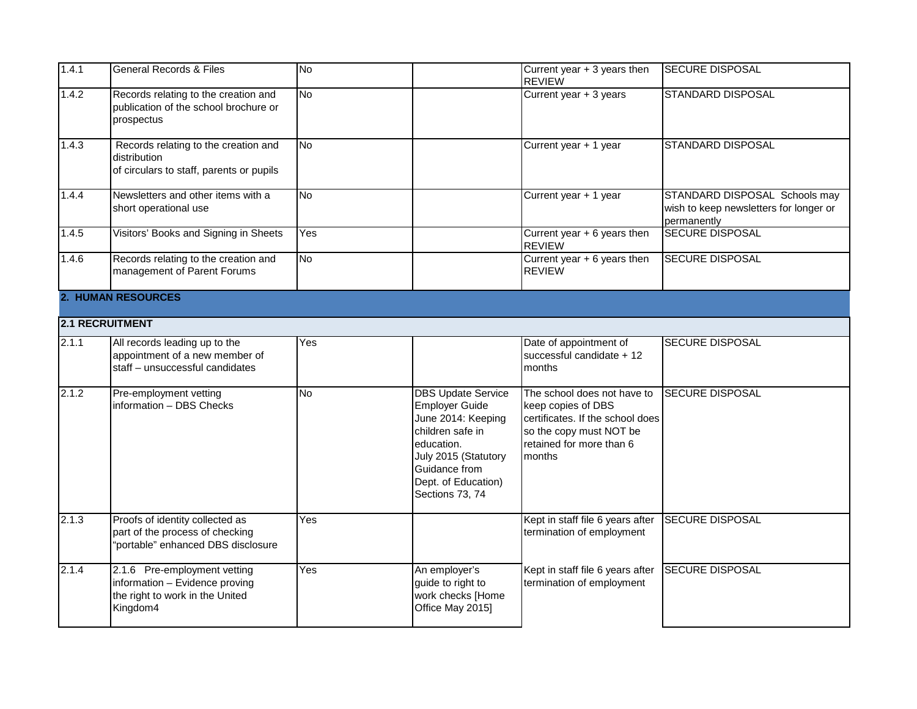| 1.4.1 | <b>General Records &amp; Files</b>                                                                            | No        |                                                                                                                                                                                               | Current year + 3 years then<br><b>REVIEW</b>                                                                                                           | <b>SECURE DISPOSAL</b>                                                                 |  |  |  |  |
|-------|---------------------------------------------------------------------------------------------------------------|-----------|-----------------------------------------------------------------------------------------------------------------------------------------------------------------------------------------------|--------------------------------------------------------------------------------------------------------------------------------------------------------|----------------------------------------------------------------------------------------|--|--|--|--|
| 1.4.2 | Records relating to the creation and<br>publication of the school brochure or<br>prospectus                   | <b>No</b> |                                                                                                                                                                                               | Current year + 3 years                                                                                                                                 | <b>STANDARD DISPOSAL</b>                                                               |  |  |  |  |
| 1.4.3 | Records relating to the creation and<br>distribution<br>of circulars to staff, parents or pupils              | <b>No</b> |                                                                                                                                                                                               | Current year + 1 year                                                                                                                                  | <b>STANDARD DISPOSAL</b>                                                               |  |  |  |  |
| 1.4.4 | Newsletters and other items with a<br>short operational use                                                   | <b>No</b> |                                                                                                                                                                                               | Current year + 1 year                                                                                                                                  | STANDARD DISPOSAL Schools may<br>wish to keep newsletters for longer or<br>permanently |  |  |  |  |
| 1.4.5 | Visitors' Books and Signing in Sheets                                                                         | Yes       |                                                                                                                                                                                               | Current year + 6 years then<br><b>REVIEW</b>                                                                                                           | <b>SECURE DISPOSAL</b>                                                                 |  |  |  |  |
| 1.4.6 | Records relating to the creation and<br>management of Parent Forums                                           | <b>No</b> |                                                                                                                                                                                               | Current year + 6 years then<br><b>REVIEW</b>                                                                                                           | <b>SECURE DISPOSAL</b>                                                                 |  |  |  |  |
|       | <b>2. HUMAN RESOURCES</b>                                                                                     |           |                                                                                                                                                                                               |                                                                                                                                                        |                                                                                        |  |  |  |  |
|       | 2.1 RECRUITMENT                                                                                               |           |                                                                                                                                                                                               |                                                                                                                                                        |                                                                                        |  |  |  |  |
| 2.1.1 | All records leading up to the<br>appointment of a new member of<br>staff - unsuccessful candidates            | Yes       |                                                                                                                                                                                               | Date of appointment of<br>successful candidate + 12<br>months                                                                                          | <b>SECURE DISPOSAL</b>                                                                 |  |  |  |  |
| 2.1.2 | Pre-employment vetting<br>information - DBS Checks                                                            | <b>No</b> | <b>DBS Update Service</b><br><b>Employer Guide</b><br>June 2014: Keeping<br>children safe in<br>education.<br>July 2015 (Statutory<br>Guidance from<br>Dept. of Education)<br>Sections 73, 74 | The school does not have to<br>keep copies of DBS<br>certificates. If the school does<br>so the copy must NOT be<br>retained for more than 6<br>months | <b>SECURE DISPOSAL</b>                                                                 |  |  |  |  |
| 2.1.3 | Proofs of identity collected as<br>part of the process of checking<br>"portable" enhanced DBS disclosure      | Yes       |                                                                                                                                                                                               | Kept in staff file 6 years after SECURE DISPOSAL<br>termination of employment                                                                          |                                                                                        |  |  |  |  |
| 2.1.4 | 2.1.6 Pre-employment vetting<br>information - Evidence proving<br>the right to work in the United<br>Kingdom4 | Yes       | An employer's<br>guide to right to<br>work checks [Home<br>Office May 2015]                                                                                                                   | Kept in staff file 6 years after<br>termination of employment                                                                                          | <b>SECURE DISPOSAL</b>                                                                 |  |  |  |  |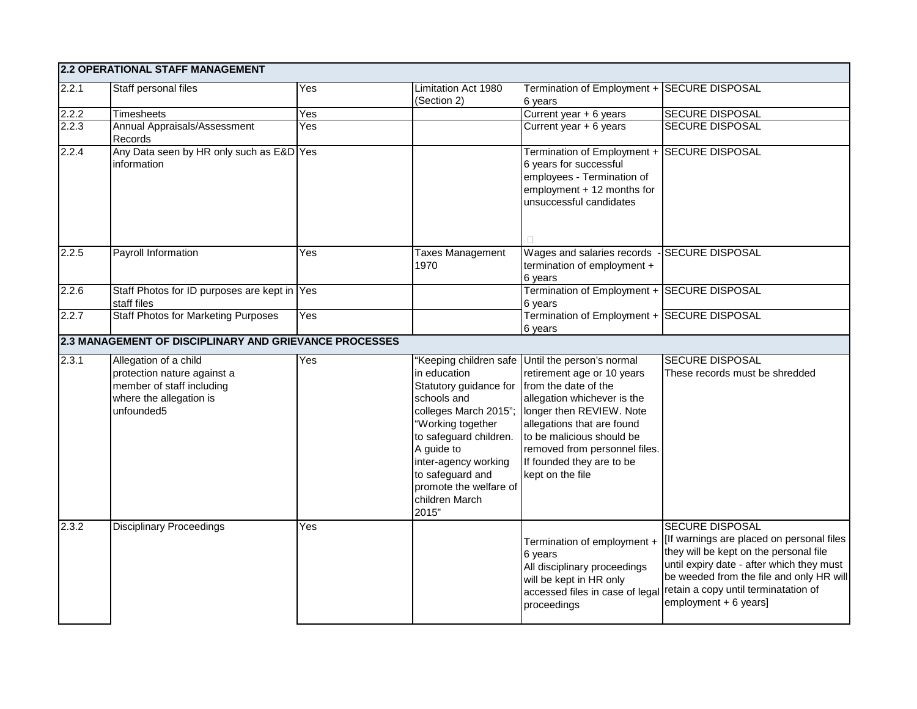|       | 2.2 OPERATIONAL STAFF MANAGEMENT                                                                                           |     |                                                                                                                                                                                                                                                                   |                                                                                                                                                                                                                                                                                        |                                                                                                                                                                                                                                                                          |
|-------|----------------------------------------------------------------------------------------------------------------------------|-----|-------------------------------------------------------------------------------------------------------------------------------------------------------------------------------------------------------------------------------------------------------------------|----------------------------------------------------------------------------------------------------------------------------------------------------------------------------------------------------------------------------------------------------------------------------------------|--------------------------------------------------------------------------------------------------------------------------------------------------------------------------------------------------------------------------------------------------------------------------|
| 2.2.1 | Staff personal files                                                                                                       | Yes | Limitation Act 1980<br>(Section 2)                                                                                                                                                                                                                                | Termination of Employment +<br>6 years                                                                                                                                                                                                                                                 | <b>SECURE DISPOSAL</b>                                                                                                                                                                                                                                                   |
| 2.2.2 | <b>Timesheets</b>                                                                                                          | Yes |                                                                                                                                                                                                                                                                   | Current year + 6 years                                                                                                                                                                                                                                                                 | SECURE DISPOSAL                                                                                                                                                                                                                                                          |
| 2.2.3 | Annual Appraisals/Assessment<br>Records                                                                                    | Yes |                                                                                                                                                                                                                                                                   | Current year + 6 years                                                                                                                                                                                                                                                                 | <b>SECURE DISPOSAL</b>                                                                                                                                                                                                                                                   |
| 2.2.4 | Any Data seen by HR only such as E&D Yes<br>information                                                                    |     |                                                                                                                                                                                                                                                                   | Termination of Employment + SECURE DISPOSAL<br>6 years for successful<br>employees - Termination of<br>employment + 12 months for<br>unsuccessful candidates<br>П                                                                                                                      |                                                                                                                                                                                                                                                                          |
| 2.2.5 | Payroll Information                                                                                                        | Yes | Taxes Management<br>1970                                                                                                                                                                                                                                          | Wages and salaries records<br>termination of employment +<br>6 years                                                                                                                                                                                                                   | <b>SECURE DISPOSAL</b>                                                                                                                                                                                                                                                   |
| 2.2.6 | Staff Photos for ID purposes are kept in Yes<br>staff files                                                                |     |                                                                                                                                                                                                                                                                   | Termination of Employment + SECURE DISPOSAL<br>6 years                                                                                                                                                                                                                                 |                                                                                                                                                                                                                                                                          |
| 2.2.7 | <b>Staff Photos for Marketing Purposes</b>                                                                                 | Yes |                                                                                                                                                                                                                                                                   | Termination of Employment + SECURE DISPOSAL<br>6 years                                                                                                                                                                                                                                 |                                                                                                                                                                                                                                                                          |
|       | 2.3 MANAGEMENT OF DISCIPLINARY AND GRIEVANCE PROCESSES                                                                     |     |                                                                                                                                                                                                                                                                   |                                                                                                                                                                                                                                                                                        |                                                                                                                                                                                                                                                                          |
| 2.3.1 | Allegation of a child<br>protection nature against a<br>member of staff including<br>where the allegation is<br>unfounded5 | Yes | in education<br>Statutory guidance for from the date of the<br>schools and<br>colleges March 2015";<br>"Working together<br>to safeguard children.<br>A guide to<br>inter-agency working<br>to safeguard and<br>promote the welfare of<br>children March<br>2015" | "Keeping children safe Until the person's normal<br>retirement age or 10 years<br>allegation whichever is the<br>longer then REVIEW. Note<br>allegations that are found<br>to be malicious should be<br>removed from personnel files.<br>If founded they are to be<br>kept on the file | <b>SECURE DISPOSAL</b><br>These records must be shredded                                                                                                                                                                                                                 |
| 2.3.2 | <b>Disciplinary Proceedings</b>                                                                                            | Yes |                                                                                                                                                                                                                                                                   | Termination of employment +<br>6 years<br>All disciplinary proceedings<br>will be kept in HR only<br>accessed files in case of legal<br>proceedings                                                                                                                                    | <b>SECURE DISPOSAL</b><br>[If warnings are placed on personal files]<br>they will be kept on the personal file<br>until expiry date - after which they must<br>be weeded from the file and only HR will<br>retain a copy until terminatation of<br>employment + 6 years] |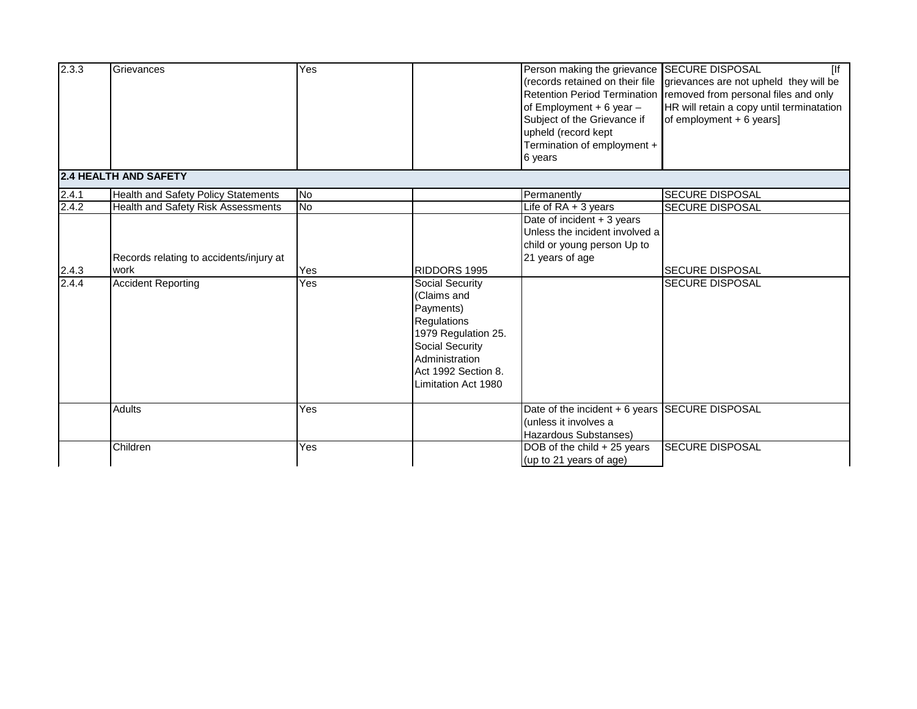| 2.3.3 | Grievances                                      | Yes       |                                                                                                                                                                      | Person making the grievance SECURE DISPOSAL<br>(records retained on their file<br><b>Retention Period Termination</b><br>of Employment $+ 6$ year $-$<br>Subject of the Grievance if<br>upheld (record kept<br>Termination of employment +<br>6 years | [<br>grievances are not upheld they will be<br>removed from personal files and only<br>HR will retain a copy until terminatation<br>of employment $+ 6$ years] |
|-------|-------------------------------------------------|-----------|----------------------------------------------------------------------------------------------------------------------------------------------------------------------|-------------------------------------------------------------------------------------------------------------------------------------------------------------------------------------------------------------------------------------------------------|----------------------------------------------------------------------------------------------------------------------------------------------------------------|
|       | 2.4 HEALTH AND SAFETY                           |           |                                                                                                                                                                      |                                                                                                                                                                                                                                                       |                                                                                                                                                                |
| 2.4.1 | Health and Safety Policy Statements             | <b>No</b> |                                                                                                                                                                      | Permanently                                                                                                                                                                                                                                           | <b>SECURE DISPOSAL</b>                                                                                                                                         |
| 2.4.2 | <b>Health and Safety Risk Assessments</b>       | No        |                                                                                                                                                                      | Life of $RA + 3$ years                                                                                                                                                                                                                                | <b>SECURE DISPOSAL</b>                                                                                                                                         |
| 2.4.3 | Records relating to accidents/injury at<br>work | Yes       | RIDDORS 1995                                                                                                                                                         | Date of incident $+3$ years<br>Unless the incident involved a<br>child or young person Up to<br>21 years of age                                                                                                                                       | <b>SECURE DISPOSAL</b>                                                                                                                                         |
| 2.4.4 | <b>Accident Reporting</b>                       | Yes       | Social Security<br>(Claims and<br>Payments)<br>Regulations<br>1979 Regulation 25.<br>Social Security<br>Administration<br>Act 1992 Section 8.<br>Limitation Act 1980 |                                                                                                                                                                                                                                                       | <b>SECURE DISPOSAL</b>                                                                                                                                         |
|       | <b>Adults</b>                                   | Yes       |                                                                                                                                                                      | Date of the incident + 6 years SECURE DISPOSAL<br>(unless it involves a<br>Hazardous Substanses)                                                                                                                                                      |                                                                                                                                                                |
|       | Children                                        | Yes       |                                                                                                                                                                      | DOB of the child + 25 years<br>(up to 21 years of age)                                                                                                                                                                                                | <b>SECURE DISPOSAL</b>                                                                                                                                         |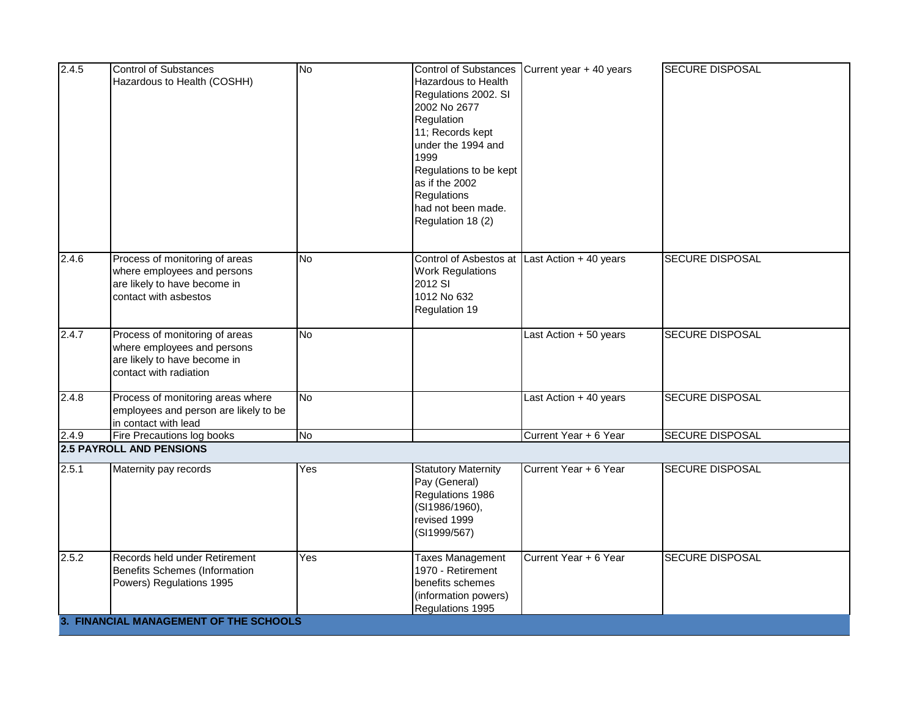| 2.4.5 | Control of Substances<br>Hazardous to Health (COSHH)                                                                    | <b>No</b> | <b>Hazardous to Health</b><br>Regulations 2002. SI<br>2002 No 2677<br>Regulation<br>11; Records kept<br>under the 1994 and<br>1999<br>Regulations to be kept<br>as if the 2002<br><b>Regulations</b><br>had not been made.<br>Regulation 18 (2) | Control of Substances Current year + 40 years | <b>SECURE DISPOSAL</b> |
|-------|-------------------------------------------------------------------------------------------------------------------------|-----------|-------------------------------------------------------------------------------------------------------------------------------------------------------------------------------------------------------------------------------------------------|-----------------------------------------------|------------------------|
| 2.4.6 | Process of monitoring of areas<br>where employees and persons<br>are likely to have become in<br>contact with asbestos  | <b>No</b> | Control of Asbestos at Last Action + 40 years<br><b>Work Regulations</b><br>2012 SI<br>1012 No 632<br>Regulation 19                                                                                                                             |                                               | <b>SECURE DISPOSAL</b> |
| 2.4.7 | Process of monitoring of areas<br>where employees and persons<br>are likely to have become in<br>contact with radiation | <b>No</b> |                                                                                                                                                                                                                                                 | Last Action + 50 years                        | <b>SECURE DISPOSAL</b> |
| 2.4.8 | Process of monitoring areas where<br>employees and person are likely to be<br>in contact with lead                      | <b>No</b> |                                                                                                                                                                                                                                                 | Last Action + 40 years                        | <b>SECURE DISPOSAL</b> |
| 2.4.9 | Fire Precautions log books                                                                                              | <b>No</b> |                                                                                                                                                                                                                                                 | Current Year + 6 Year                         | <b>SECURE DISPOSAL</b> |
|       | <b>2.5 PAYROLL AND PENSIONS</b>                                                                                         |           |                                                                                                                                                                                                                                                 |                                               |                        |
| 2.5.1 | Maternity pay records                                                                                                   | Yes       | <b>Statutory Maternity</b><br>Pay (General)<br>Regulations 1986<br>(SI1986/1960),<br>revised 1999<br>(SI1999/567)                                                                                                                               | Current Year + 6 Year                         | <b>SECURE DISPOSAL</b> |
| 2.5.2 | <b>Records held under Retirement</b><br>Benefits Schemes (Information<br>Powers) Regulations 1995                       | Yes       | Taxes Management<br>1970 - Retirement<br>benefits schemes<br>(information powers)<br>Regulations 1995                                                                                                                                           | Current Year + 6 Year                         | <b>SECURE DISPOSAL</b> |
|       | 3. FINANCIAL MANAGEMENT OF THE SCHOOLS                                                                                  |           |                                                                                                                                                                                                                                                 |                                               |                        |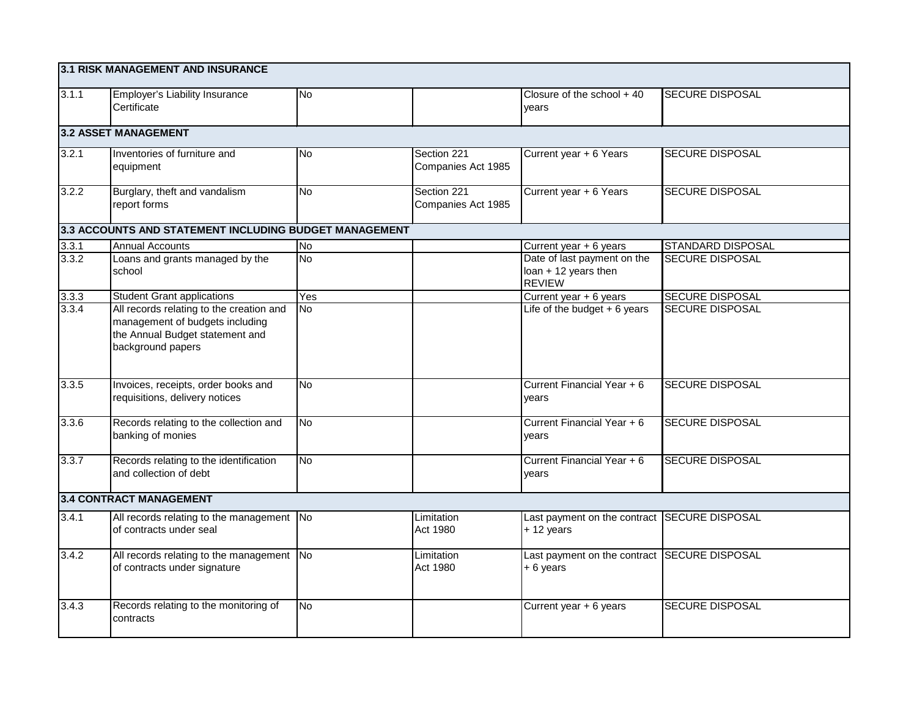|       | 3.1 RISK MANAGEMENT AND INSURANCE                                                                                                   |           |                                   |                                                                      |                          |  |  |
|-------|-------------------------------------------------------------------------------------------------------------------------------------|-----------|-----------------------------------|----------------------------------------------------------------------|--------------------------|--|--|
| 3.1.1 | Employer's Liability Insurance<br>Certificate                                                                                       | <b>No</b> |                                   | Closure of the school $+40$<br>years                                 | <b>SECURE DISPOSAL</b>   |  |  |
|       | 3.2 ASSET MANAGEMENT                                                                                                                |           |                                   |                                                                      |                          |  |  |
| 3.2.1 | Inventories of furniture and<br>equipment                                                                                           | <b>No</b> | Section 221<br>Companies Act 1985 | Current year + 6 Years                                               | <b>SECURE DISPOSAL</b>   |  |  |
| 3.2.2 | Burglary, theft and vandalism<br>report forms                                                                                       | <b>No</b> | Section 221<br>Companies Act 1985 | Current year + 6 Years                                               | <b>SECURE DISPOSAL</b>   |  |  |
|       | 3.3 ACCOUNTS AND STATEMENT INCLUDING BUDGET MANAGEMENT                                                                              |           |                                   |                                                                      |                          |  |  |
| 3.3.1 | <b>Annual Accounts</b>                                                                                                              | No.       |                                   | Current year + 6 years                                               | <b>STANDARD DISPOSAL</b> |  |  |
| 3.3.2 | Loans and grants managed by the<br>school                                                                                           | <b>No</b> |                                   | Date of last payment on the<br>loan + 12 years then<br><b>REVIEW</b> | <b>SECURE DISPOSAL</b>   |  |  |
| 3.3.3 | <b>Student Grant applications</b>                                                                                                   | Yes       |                                   | Current year + 6 years                                               | <b>SECURE DISPOSAL</b>   |  |  |
| 3.3.4 | All records relating to the creation and<br>management of budgets including<br>the Annual Budget statement and<br>background papers | <b>No</b> |                                   | Life of the budget $+6$ years                                        | <b>SECURE DISPOSAL</b>   |  |  |
| 3.3.5 | Invoices, receipts, order books and<br>requisitions, delivery notices                                                               | <b>No</b> |                                   | Current Financial Year + 6<br>years                                  | <b>SECURE DISPOSAL</b>   |  |  |
| 3.3.6 | Records relating to the collection and<br>banking of monies                                                                         | <b>No</b> |                                   | Current Financial Year + 6<br>years                                  | <b>SECURE DISPOSAL</b>   |  |  |
| 3.3.7 | Records relating to the identification<br>and collection of debt                                                                    | <b>No</b> |                                   | Current Financial Year + 6<br>years                                  | <b>SECURE DISPOSAL</b>   |  |  |
|       | 3.4 CONTRACT MANAGEMENT                                                                                                             |           |                                   |                                                                      |                          |  |  |
| 3.4.1 | All records relating to the management No<br>of contracts under seal                                                                |           | Limitation<br>Act 1980            | Last payment on the contract SECURE DISPOSAL<br>$+ 12$ years         |                          |  |  |
| 3.4.2 | All records relating to the management No<br>of contracts under signature                                                           |           | Limitation<br>Act 1980            | Last payment on the contract SECURE DISPOSAL<br>$+6$ years           |                          |  |  |
| 3.4.3 | Records relating to the monitoring of<br>contracts                                                                                  | <b>No</b> |                                   | Current year + 6 years                                               | SECURE DISPOSAL          |  |  |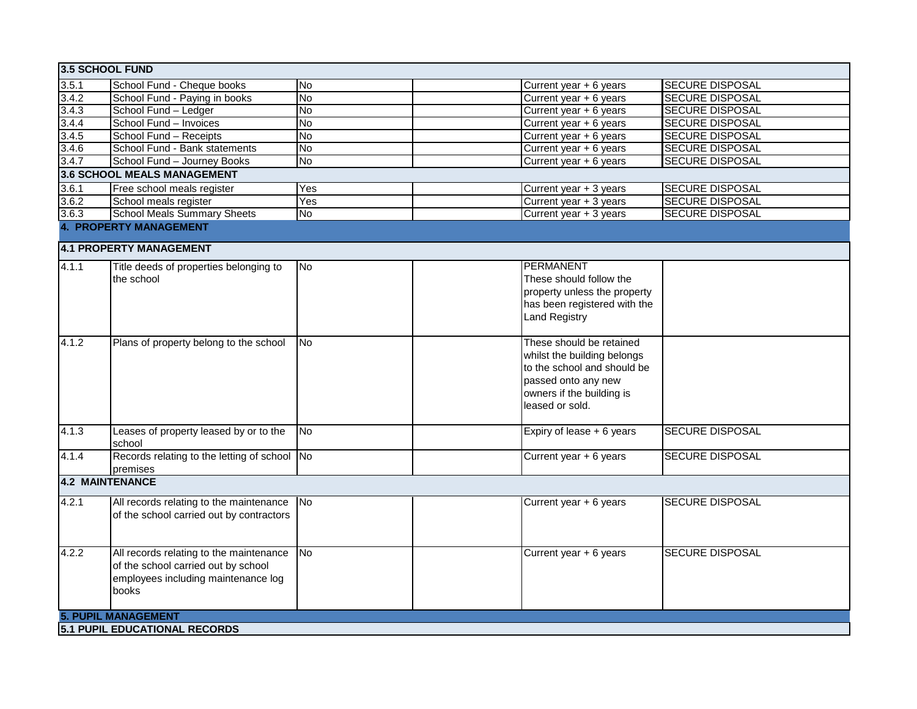| 3.5 SCHOOL FUND                             |                                                          |                |                              |                        |
|---------------------------------------------|----------------------------------------------------------|----------------|------------------------------|------------------------|
| 3.5.1                                       | School Fund - Cheque books                               | <b>No</b>      | Current year + 6 years       | <b>SECURE DISPOSAL</b> |
|                                             | School Fund - Paying in books                            | <b>No</b>      | Current year + 6 years       | <b>SECURE DISPOSAL</b> |
|                                             | School Fund - Ledger                                     | <b>No</b>      | Current year + 6 years       | <b>SECURE DISPOSAL</b> |
|                                             | School Fund - Invoices                                   | <b>No</b>      | Current year + 6 years       | <b>SECURE DISPOSAL</b> |
| $\frac{3.4.2}{3.4.3}$ $\frac{3.4.3}{3.4.4}$ | School Fund - Receipts                                   | <b>No</b>      | Current year + 6 years       | <b>SECURE DISPOSAL</b> |
| 3.4.6                                       | School Fund - Bank statements                            | No             | Current year + 6 years       | <b>SECURE DISPOSAL</b> |
| 3.4.7                                       | School Fund - Journey Books                              | No.            | Current year $+ 6$ years     | <b>SECURE DISPOSAL</b> |
|                                             | 3.6 SCHOOL MEALS MANAGEMENT                              |                |                              |                        |
| 3.6.1                                       | Free school meals register                               | Yes            | Current year + 3 years       | <b>SECURE DISPOSAL</b> |
| 3.6.2                                       | School meals register                                    | Yes            | Current year + 3 years       | <b>SECURE DISPOSAL</b> |
| 3.6.3                                       | <b>School Meals Summary Sheets</b>                       | <b>No</b>      | Current year + 3 years       | <b>SECURE DISPOSAL</b> |
|                                             | <b>4. PROPERTY MANAGEMENT</b>                            |                |                              |                        |
|                                             | <b>4.1 PROPERTY MANAGEMENT</b>                           |                |                              |                        |
| 4.1.1                                       | Title deeds of properties belonging to                   | <b>No</b>      | PERMANENT                    |                        |
|                                             | the school                                               |                | These should follow the      |                        |
|                                             |                                                          |                | property unless the property |                        |
|                                             |                                                          |                | has been registered with the |                        |
|                                             |                                                          |                | <b>Land Registry</b>         |                        |
| 4.1.2                                       | Plans of property belong to the school                   | No             | These should be retained     |                        |
|                                             |                                                          |                | whilst the building belongs  |                        |
|                                             |                                                          |                | to the school and should be  |                        |
|                                             |                                                          |                | passed onto any new          |                        |
|                                             |                                                          |                | owners if the building is    |                        |
|                                             |                                                          |                | leased or sold.              |                        |
| 4.1.3                                       | Leases of property leased by or to the                   | <b>No</b>      | Expiry of lease + 6 years    | <b>SECURE DISPOSAL</b> |
|                                             | school                                                   |                |                              |                        |
| 4.1.4                                       | Records relating to the letting of school No<br>premises |                | Current year + 6 years       | <b>SECURE DISPOSAL</b> |
| <b>4.2 MAINTENANCE</b>                      |                                                          |                |                              |                        |
| 4.2.1                                       | All records relating to the maintenance                  | N <sub>o</sub> | Current year + 6 years       | <b>SECURE DISPOSAL</b> |
|                                             | of the school carried out by contractors                 |                |                              |                        |
|                                             |                                                          |                |                              |                        |
|                                             |                                                          |                |                              |                        |
| 4.2.2                                       | All records relating to the maintenance                  | No             | Current year + 6 years       | <b>SECURE DISPOSAL</b> |
|                                             | of the school carried out by school                      |                |                              |                        |
|                                             | employees including maintenance log                      |                |                              |                        |
|                                             | books                                                    |                |                              |                        |
|                                             |                                                          |                |                              |                        |
|                                             | <b>5. PUPIL MANAGEMENT</b>                               |                |                              |                        |
|                                             | 5.1 PUPIL EDUCATIONAL RECORDS                            |                |                              |                        |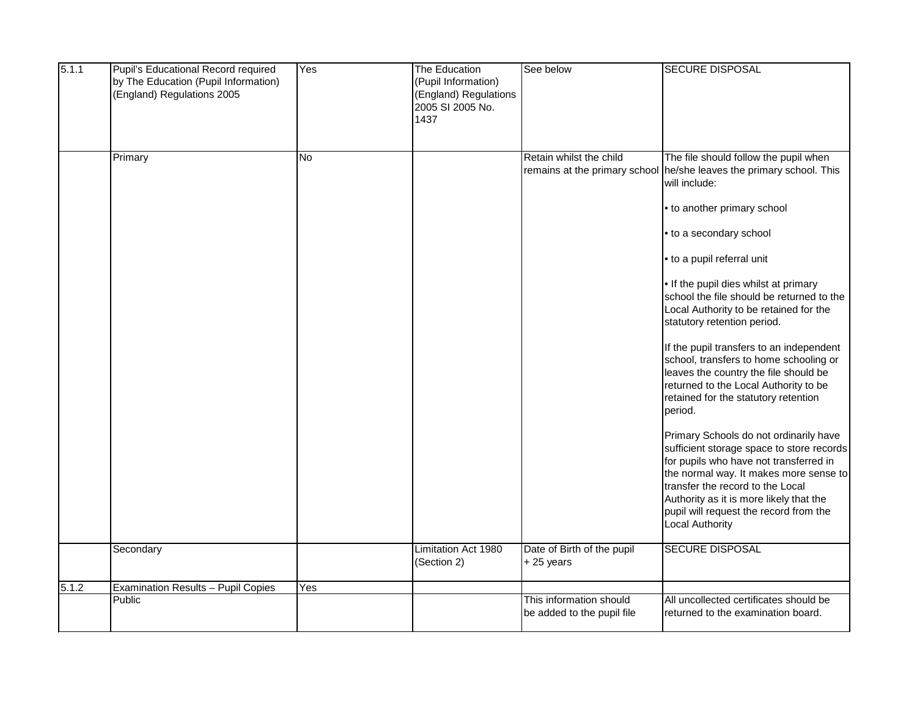| 5.1.1 | Pupil's Educational Record required          | Yes       | The Education         | See below                  | <b>SECURE DISPOSAL</b>                                               |
|-------|----------------------------------------------|-----------|-----------------------|----------------------------|----------------------------------------------------------------------|
|       | by The Education (Pupil Information)         |           | (Pupil Information)   |                            |                                                                      |
|       | (England) Regulations 2005                   |           | (England) Regulations |                            |                                                                      |
|       |                                              |           | 2005 SI 2005 No.      |                            |                                                                      |
|       |                                              |           | 1437                  |                            |                                                                      |
|       |                                              |           |                       |                            |                                                                      |
|       |                                              |           |                       |                            |                                                                      |
|       | Primary                                      | <b>No</b> |                       | Retain whilst the child    | The file should follow the pupil when                                |
|       |                                              |           |                       |                            | remains at the primary school he/she leaves the primary school. This |
|       |                                              |           |                       |                            | will include:                                                        |
|       |                                              |           |                       |                            | • to another primary school                                          |
|       |                                              |           |                       |                            |                                                                      |
|       |                                              |           |                       |                            | • to a secondary school                                              |
|       |                                              |           |                       |                            |                                                                      |
|       |                                              |           |                       |                            | • to a pupil referral unit                                           |
|       |                                              |           |                       |                            | . If the pupil dies whilst at primary                                |
|       |                                              |           |                       |                            | school the file should be returned to the                            |
|       |                                              |           |                       |                            | Local Authority to be retained for the                               |
|       |                                              |           |                       |                            | statutory retention period.                                          |
|       |                                              |           |                       |                            | If the pupil transfers to an independent                             |
|       |                                              |           |                       |                            | school, transfers to home schooling or                               |
|       |                                              |           |                       |                            | leaves the country the file should be                                |
|       |                                              |           |                       |                            | returned to the Local Authority to be                                |
|       |                                              |           |                       |                            | retained for the statutory retention                                 |
|       |                                              |           |                       |                            | period.                                                              |
|       |                                              |           |                       |                            | Primary Schools do not ordinarily have                               |
|       |                                              |           |                       |                            | sufficient storage space to store records                            |
|       |                                              |           |                       |                            | for pupils who have not transferred in                               |
|       |                                              |           |                       |                            | the normal way. It makes more sense to                               |
|       |                                              |           |                       |                            | transfer the record to the Local                                     |
|       |                                              |           |                       |                            | Authority as it is more likely that the                              |
|       |                                              |           |                       |                            | pupil will request the record from the                               |
|       |                                              |           |                       |                            | <b>Local Authority</b>                                               |
|       | Secondary                                    |           | Limitation Act 1980   | Date of Birth of the pupil | <b>SECURE DISPOSAL</b>                                               |
|       |                                              |           | (Section 2)           | $+25$ years                |                                                                      |
| 5.1.2 |                                              | Yes       |                       |                            |                                                                      |
|       | Examination Results - Pupil Copies<br>Public |           |                       | This information should    | All uncollected certificates should be                               |
|       |                                              |           |                       | be added to the pupil file | returned to the examination board.                                   |
|       |                                              |           |                       |                            |                                                                      |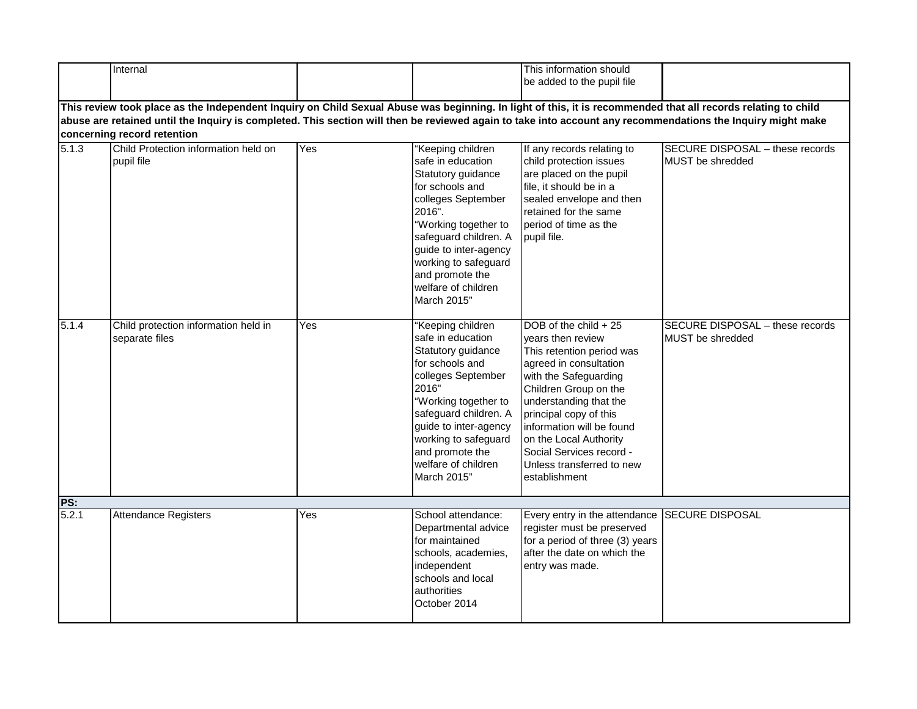|       | Internal                                                                                                                                                                                                                                                                                                                                                    |     |                                                                                                                                                                                                                                                                            | This information should<br>be added to the pupil file                                                                                                                                                                                                                                                                                    |                                                            |  |  |  |  |
|-------|-------------------------------------------------------------------------------------------------------------------------------------------------------------------------------------------------------------------------------------------------------------------------------------------------------------------------------------------------------------|-----|----------------------------------------------------------------------------------------------------------------------------------------------------------------------------------------------------------------------------------------------------------------------------|------------------------------------------------------------------------------------------------------------------------------------------------------------------------------------------------------------------------------------------------------------------------------------------------------------------------------------------|------------------------------------------------------------|--|--|--|--|
|       | This review took place as the Independent Inquiry on Child Sexual Abuse was beginning. In light of this, it is recommended that all records relating to child<br>abuse are retained until the Inquiry is completed. This section will then be reviewed again to take into account any recommendations the Inquiry might make<br>concerning record retention |     |                                                                                                                                                                                                                                                                            |                                                                                                                                                                                                                                                                                                                                          |                                                            |  |  |  |  |
| 5.1.3 | Child Protection information held on<br>pupil file                                                                                                                                                                                                                                                                                                          | Yes | 'Keeping children<br>safe in education<br>Statutory guidance<br>for schools and<br>colleges September<br>2016".<br>"Working together to<br>safeguard children. A<br>guide to inter-agency<br>working to safeguard<br>and promote the<br>welfare of children<br>March 2015" | If any records relating to<br>child protection issues<br>are placed on the pupil<br>file, it should be in a<br>sealed envelope and then<br>retained for the same<br>period of time as the<br>pupil file.                                                                                                                                 | <b>SECURE DISPOSAL - these records</b><br>MUST be shredded |  |  |  |  |
| 5.1.4 | Child protection information held in<br>separate files                                                                                                                                                                                                                                                                                                      | Yes | "Keeping children<br>safe in education<br>Statutory guidance<br>for schools and<br>colleges September<br>2016"<br>"Working together to<br>safeguard children. A<br>guide to inter-agency<br>working to safeguard<br>and promote the<br>welfare of children<br>March 2015"  | DOB of the child + 25<br>vears then review<br>This retention period was<br>agreed in consultation<br>with the Safeguarding<br>Children Group on the<br>understanding that the<br>principal copy of this<br>information will be found<br>on the Local Authority<br>Social Services record -<br>Unless transferred to new<br>establishment | SECURE DISPOSAL - these records<br>MUST be shredded        |  |  |  |  |
| PS:   |                                                                                                                                                                                                                                                                                                                                                             |     |                                                                                                                                                                                                                                                                            |                                                                                                                                                                                                                                                                                                                                          |                                                            |  |  |  |  |
| 5.2.1 | <b>Attendance Registers</b>                                                                                                                                                                                                                                                                                                                                 | Yes | School attendance:<br>Departmental advice<br>for maintained<br>schools, academies,<br>independent<br>schools and local<br>authorities<br>October 2014                                                                                                                      | Every entry in the attendance SECURE DISPOSAL<br>register must be preserved<br>for a period of three (3) years<br>after the date on which the<br>entry was made.                                                                                                                                                                         |                                                            |  |  |  |  |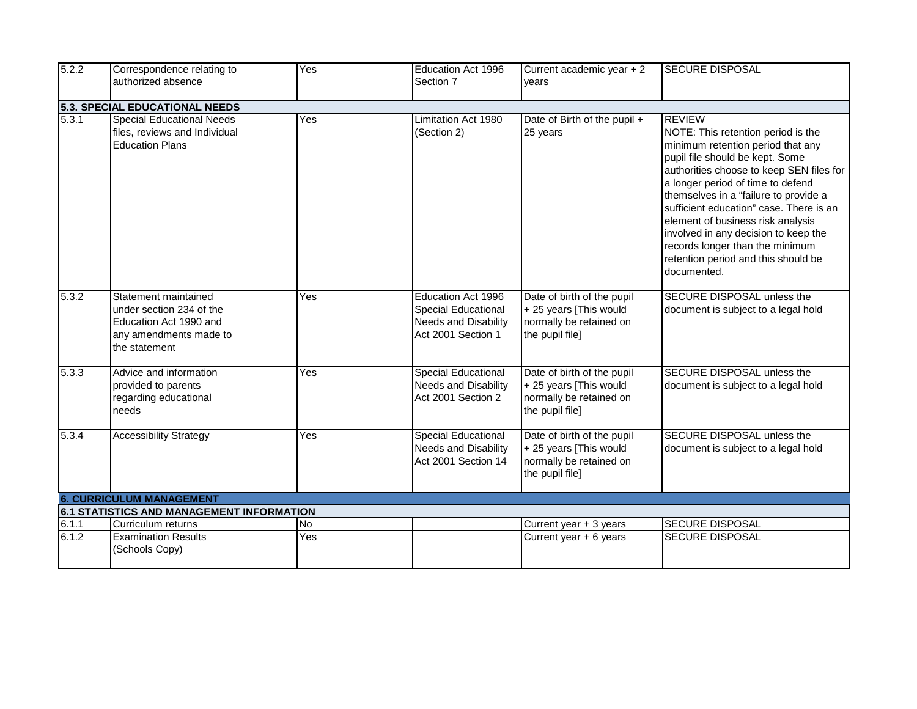| 5.2.2                           | Correspondence relating to<br>authorized absence                                                                      | Yes              | Education Act 1996<br>Section 7                                                                | Current academic year + 2                                                                          | <b>SECURE DISPOSAL</b>                                                                                                                                                                                                                                                                                                                                                                                                                                                 |  |  |
|---------------------------------|-----------------------------------------------------------------------------------------------------------------------|------------------|------------------------------------------------------------------------------------------------|----------------------------------------------------------------------------------------------------|------------------------------------------------------------------------------------------------------------------------------------------------------------------------------------------------------------------------------------------------------------------------------------------------------------------------------------------------------------------------------------------------------------------------------------------------------------------------|--|--|
|                                 |                                                                                                                       |                  |                                                                                                | vears                                                                                              |                                                                                                                                                                                                                                                                                                                                                                                                                                                                        |  |  |
|                                 | 5.3. SPECIAL EDUCATIONAL NEEDS                                                                                        |                  |                                                                                                |                                                                                                    |                                                                                                                                                                                                                                                                                                                                                                                                                                                                        |  |  |
| $\overline{5.3.1}$              | <b>Special Educational Needs</b><br>files, reviews and Individual<br><b>Education Plans</b>                           | Yes              | Limitation Act 1980<br>(Section 2)                                                             | Date of Birth of the pupil +<br>25 years                                                           | <b>REVIEW</b><br>NOTE: This retention period is the<br>minimum retention period that any<br>pupil file should be kept. Some<br>authorities choose to keep SEN files for<br>a longer period of time to defend<br>themselves in a "failure to provide a<br>sufficient education" case. There is an<br>element of business risk analysis<br>involved in any decision to keep the<br>records longer than the minimum<br>retention period and this should be<br>documented. |  |  |
| 5.3.2                           | Statement maintained<br>under section 234 of the<br>Education Act 1990 and<br>any amendments made to<br>the statement | Yes              | Education Act 1996<br>Special Educational<br><b>Needs and Disability</b><br>Act 2001 Section 1 | Date of birth of the pupil<br>+ 25 years [This would<br>normally be retained on<br>the pupil file] | SECURE DISPOSAL unless the<br>document is subject to a legal hold                                                                                                                                                                                                                                                                                                                                                                                                      |  |  |
| 5.3.3                           | Advice and information<br>provided to parents<br>regarding educational<br>needs                                       | Yes              | <b>Special Educational</b><br><b>Needs and Disability</b><br>Act 2001 Section 2                | Date of birth of the pupil<br>+ 25 years [This would<br>normally be retained on<br>the pupil file] | SECURE DISPOSAL unless the<br>document is subject to a legal hold                                                                                                                                                                                                                                                                                                                                                                                                      |  |  |
| 5.3.4                           | <b>Accessibility Strategy</b>                                                                                         | Yes              | <b>Special Educational</b><br><b>Needs and Disability</b><br>Act 2001 Section 14               | Date of birth of the pupil<br>+ 25 years [This would<br>normally be retained on<br>the pupil file] | <b>SECURE DISPOSAL unless the</b><br>document is subject to a legal hold                                                                                                                                                                                                                                                                                                                                                                                               |  |  |
| <b>6. CURRICULUM MANAGEMENT</b> |                                                                                                                       |                  |                                                                                                |                                                                                                    |                                                                                                                                                                                                                                                                                                                                                                                                                                                                        |  |  |
|                                 | 6.1 STATISTICS AND MANAGEMENT INFORMATION                                                                             |                  |                                                                                                |                                                                                                    |                                                                                                                                                                                                                                                                                                                                                                                                                                                                        |  |  |
| 6.1.1<br>6.1.2                  | Curriculum returns<br><b>Examination Results</b><br>(Schools Copy)                                                    | <b>No</b><br>Yes |                                                                                                | Current year + 3 years<br>Current year $+ 6$ years                                                 | <b>SECURE DISPOSAL</b><br><b>SECURE DISPOSAL</b>                                                                                                                                                                                                                                                                                                                                                                                                                       |  |  |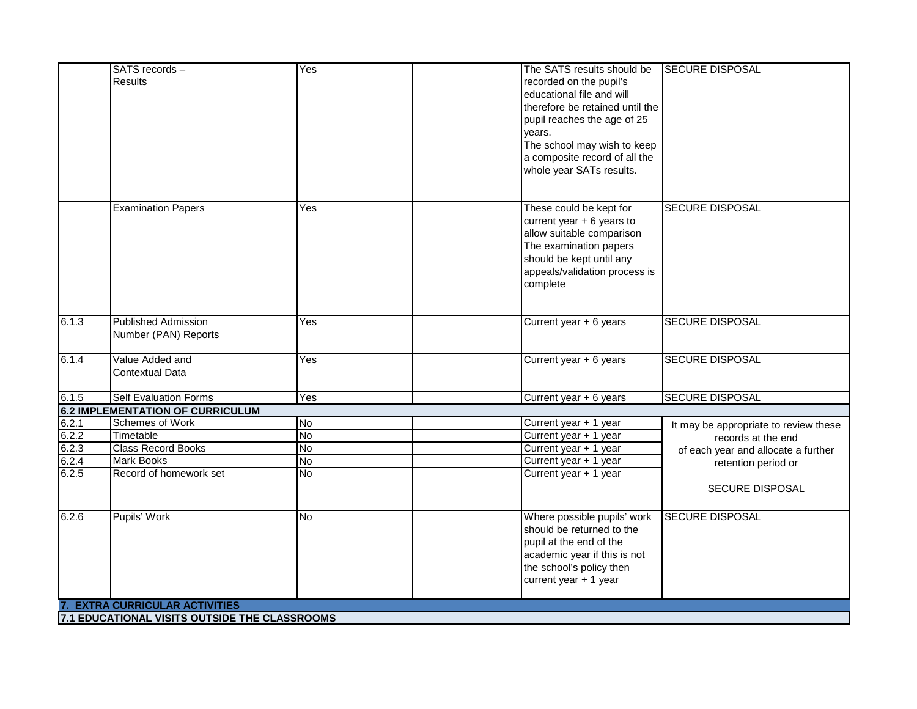|       | SATS records -                                | Yes       | The SATS results should be      | <b>SECURE DISPOSAL</b>                |
|-------|-----------------------------------------------|-----------|---------------------------------|---------------------------------------|
|       | <b>Results</b>                                |           | recorded on the pupil's         |                                       |
|       |                                               |           | educational file and will       |                                       |
|       |                                               |           | therefore be retained until the |                                       |
|       |                                               |           | pupil reaches the age of 25     |                                       |
|       |                                               |           | years.                          |                                       |
|       |                                               |           | The school may wish to keep     |                                       |
|       |                                               |           | a composite record of all the   |                                       |
|       |                                               |           | whole year SATs results.        |                                       |
|       |                                               |           |                                 |                                       |
|       |                                               |           |                                 |                                       |
|       | <b>Examination Papers</b>                     | Yes       | These could be kept for         | <b>SECURE DISPOSAL</b>                |
|       |                                               |           | current year $+ 6$ years to     |                                       |
|       |                                               |           | allow suitable comparison       |                                       |
|       |                                               |           | The examination papers          |                                       |
|       |                                               |           | should be kept until any        |                                       |
|       |                                               |           | appeals/validation process is   |                                       |
|       |                                               |           | complete                        |                                       |
|       |                                               |           |                                 |                                       |
| 6.1.3 | <b>Published Admission</b>                    | Yes       | Current year + 6 years          | <b>SECURE DISPOSAL</b>                |
|       | Number (PAN) Reports                          |           |                                 |                                       |
|       |                                               |           |                                 |                                       |
| 6.1.4 | Value Added and                               | Yes       | Current year + 6 years          | <b>SECURE DISPOSAL</b>                |
|       | <b>Contextual Data</b>                        |           |                                 |                                       |
|       |                                               |           |                                 |                                       |
| 6.1.5 | <b>Self Evaluation Forms</b>                  | Yes       | Current year + 6 years          | <b>SECURE DISPOSAL</b>                |
|       | <b>6.2 IMPLEMENTATION OF CURRICULUM</b>       |           |                                 |                                       |
| 6.2.1 | Schemes of Work                               | <b>No</b> | Current year + 1 year           | It may be appropriate to review these |
| 6.2.2 | Timetable                                     | <b>No</b> | Current year + 1 year           | records at the end                    |
| 6.2.3 | <b>Class Record Books</b>                     | <b>No</b> | Current year + 1 year           | of each year and allocate a further   |
| 6.2.4 | <b>Mark Books</b>                             | <b>No</b> | Current year + 1 year           | retention period or                   |
| 6.2.5 | Record of homework set                        | <b>No</b> | Current year + 1 year           |                                       |
|       |                                               |           |                                 | <b>SECURE DISPOSAL</b>                |
| 6.2.6 | Pupils' Work                                  | <b>No</b> | Where possible pupils' work     | <b>SECURE DISPOSAL</b>                |
|       |                                               |           | should be returned to the       |                                       |
|       |                                               |           | pupil at the end of the         |                                       |
|       |                                               |           | academic year if this is not    |                                       |
|       |                                               |           | the school's policy then        |                                       |
|       |                                               |           | current year + 1 year           |                                       |
|       |                                               |           |                                 |                                       |
|       | <b>EXTRA CURRICULAR ACTIVITIES</b>            |           |                                 |                                       |
|       | 7.1 EDUCATIONAL VISITS OUTSIDE THE CLASSROOMS |           |                                 |                                       |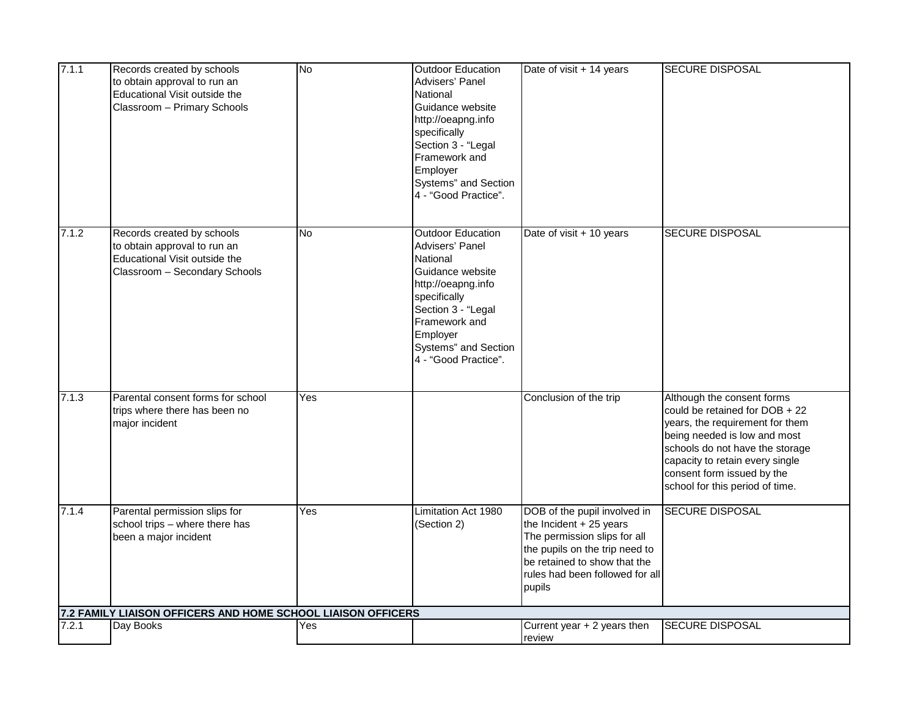| 7.1.1 | Records created by schools<br>to obtain approval to run an<br>Educational Visit outside the<br>Classroom - Primary Schools   | <b>No</b> | <b>Outdoor Education</b><br>Advisers' Panel<br>National<br>Guidance website<br>http://oeapng.info<br>specifically<br>Section 3 - "Legal<br>Framework and<br>Employer<br>Systems" and Section<br>4 - "Good Practice". | Date of visit + 14 years                                                                                                                                                                               | <b>SECURE DISPOSAL</b>                                                                                                                                                                                                                                                 |
|-------|------------------------------------------------------------------------------------------------------------------------------|-----------|----------------------------------------------------------------------------------------------------------------------------------------------------------------------------------------------------------------------|--------------------------------------------------------------------------------------------------------------------------------------------------------------------------------------------------------|------------------------------------------------------------------------------------------------------------------------------------------------------------------------------------------------------------------------------------------------------------------------|
| 7.1.2 | Records created by schools<br>to obtain approval to run an<br>Educational Visit outside the<br>Classroom - Secondary Schools | <b>No</b> | <b>Outdoor Education</b><br>Advisers' Panel<br>National<br>Guidance website<br>http://oeapng.info<br>specifically<br>Section 3 - "Legal<br>Framework and<br>Employer<br>Systems" and Section<br>4 - "Good Practice". | Date of visit + 10 years                                                                                                                                                                               | <b>SECURE DISPOSAL</b>                                                                                                                                                                                                                                                 |
| 7.1.3 | Parental consent forms for school<br>trips where there has been no<br>major incident                                         | Yes       |                                                                                                                                                                                                                      | Conclusion of the trip                                                                                                                                                                                 | Although the consent forms<br>could be retained for DOB + 22<br>years, the requirement for them<br>being needed is low and most<br>schools do not have the storage<br>capacity to retain every single<br>consent form issued by the<br>school for this period of time. |
| 7.1.4 | Parental permission slips for<br>school trips - where there has<br>been a major incident                                     | Yes       | Limitation Act 1980<br>(Section 2)                                                                                                                                                                                   | DOB of the pupil involved in<br>the Incident + 25 years<br>The permission slips for all<br>the pupils on the trip need to<br>be retained to show that the<br>rules had been followed for all<br>pupils | <b>SECURE DISPOSAL</b>                                                                                                                                                                                                                                                 |
| 7.2.1 | 7.2 FAMILY LIAISON OFFICERS AND HOME SCHOOL LIAISON OFFICERS<br>Day Books                                                    | Yes       |                                                                                                                                                                                                                      | Current year + 2 years then                                                                                                                                                                            | <b>SECURE DISPOSAL</b>                                                                                                                                                                                                                                                 |
|       |                                                                                                                              |           |                                                                                                                                                                                                                      | review                                                                                                                                                                                                 |                                                                                                                                                                                                                                                                        |